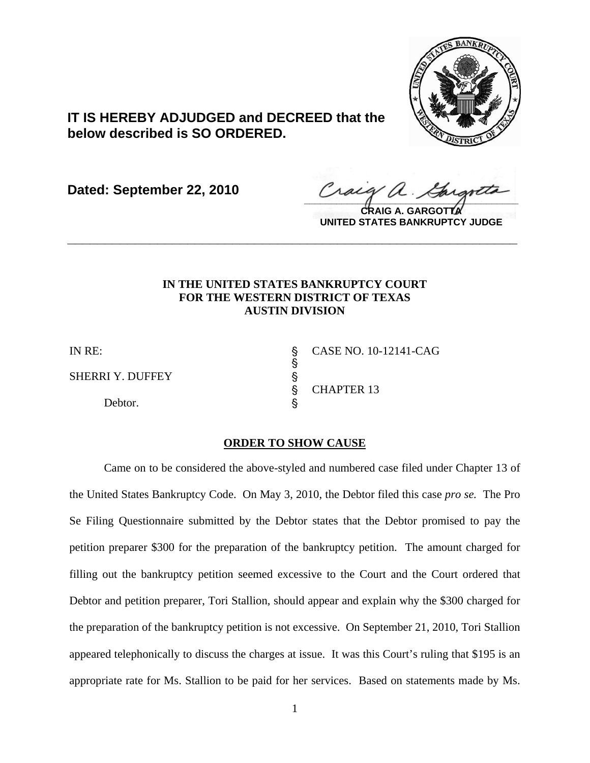

## **IT IS HEREBY ADJUDGED and DECREED that the below described is SO ORDERED.**

**Dated: September 22, 2010**

Craca 1  $\frac{1}{2}$ 

**CRAIG A. GARGOTTA UNITED STATES BANKRUPTCY JUDGE**

## **IN THE UNITED STATES BANKRUPTCY COURT FOR THE WESTERN DISTRICT OF TEXAS AUSTIN DIVISION**

**\_\_\_\_\_\_\_\_\_\_\_\_\_\_\_\_\_\_\_\_\_\_\_\_\_\_\_\_\_\_\_\_\_\_\_\_\_\_\_\_\_\_\_\_\_\_\_\_\_\_\_\_\_\_\_\_\_\_\_\_**

SHERRI Y. DUFFEY '

Debtor.

IN RE: \$ CASE NO. 10-12141-CAG ' CHAPTER 13

## **ORDER TO SHOW CAUSE**

S 8

Came on to be considered the above-styled and numbered case filed under Chapter 13 of the United States Bankruptcy Code. On May 3, 2010, the Debtor filed this case *pro se.* The Pro Se Filing Questionnaire submitted by the Debtor states that the Debtor promised to pay the petition preparer \$300 for the preparation of the bankruptcy petition. The amount charged for filling out the bankruptcy petition seemed excessive to the Court and the Court ordered that Debtor and petition preparer, Tori Stallion, should appear and explain why the \$300 charged for the preparation of the bankruptcy petition is not excessive. On September 21, 2010, Tori Stallion appeared telephonically to discuss the charges at issue. It was this Court's ruling that \$195 is an appropriate rate for Ms. Stallion to be paid for her services. Based on statements made by Ms.